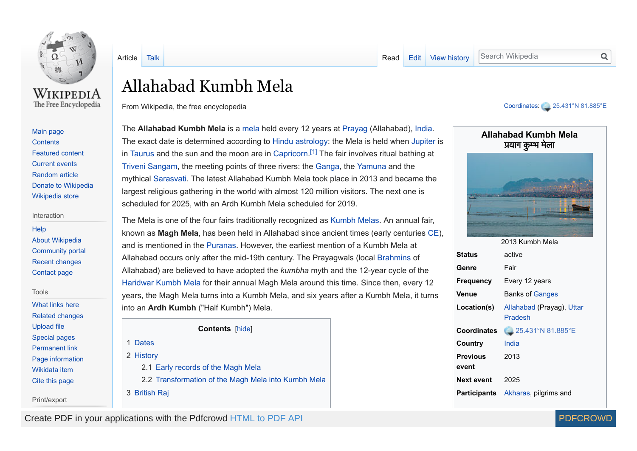

The Free Encyclopedia

[Article](https://en.wikipedia.org/wiki/Allahabad_Kumbh_Mela) [Talk](https://en.wikipedia.org/wiki/Talk:Allahabad_Kumbh_Mela) **Talk [Read](https://en.wikipedia.org/wiki/Allahabad_Kumbh_Mela) [Edit](https://en.wikipedia.org/w/index.php?title=Allahabad_Kumbh_Mela&action=edit) View [history](https://en.wikipedia.org/w/index.php?title=Allahabad_Kumbh_Mela&action=history) Search Wikipedia** 

Q

# Allahabad Kumbh Mela

From Wikipedia, the free encyclopedia

[Main page](https://en.wikipedia.org/wiki/Main_Page) **[Contents](https://en.wikipedia.org/wiki/Portal:Contents)** [Featured content](https://en.wikipedia.org/wiki/Portal:Featured_content) [Current events](https://en.wikipedia.org/wiki/Portal:Current_events) [Random article](https://en.wikipedia.org/wiki/Special:Random) [Donate to Wikipedia](https://donate.wikimedia.org/wiki/Special:FundraiserRedirector?utm_source=donate&utm_medium=sidebar&utm_campaign=C13_en.wikipedia.org&uselang=en) [Wikipedia store](https://shop.wikimedia.org/)

#### Interaction

**[Help](https://en.wikipedia.org/wiki/Help:Contents)** [About Wikipedia](https://en.wikipedia.org/wiki/Wikipedia:About) [Community portal](https://en.wikipedia.org/wiki/Wikipedia:Community_portal) [Recent changes](https://en.wikipedia.org/wiki/Special:RecentChanges) [Contact page](https://en.wikipedia.org/wiki/Wikipedia:Contact_us)

#### Tools

[What links here](https://en.wikipedia.org/wiki/Special:WhatLinksHere/Allahabad_Kumbh_Mela) [Related changes](https://en.wikipedia.org/wiki/Special:RecentChangesLinked/Allahabad_Kumbh_Mela) [Upload file](https://en.wikipedia.org/wiki/Wikipedia:File_Upload_Wizard) [Special pages](https://en.wikipedia.org/wiki/Special:SpecialPages) [Permanent link](https://en.wikipedia.org/w/index.php?title=Allahabad_Kumbh_Mela&oldid=836374815) [Page information](https://en.wikipedia.org/w/index.php?title=Allahabad_Kumbh_Mela&action=info) [Wikidata item](https://www.wikidata.org/wiki/Special:EntityPage/Q24943353) [Cite this page](https://en.wikipedia.org/w/index.php?title=Special:CiteThisPage&page=Allahabad_Kumbh_Mela&id=836374815)

Print/export

The **Allahabad Kumbh Mela** is a [mela](https://en.wikipedia.org/wiki/Mela) held every 12 years at [Prayag](https://en.wikipedia.org/wiki/Prayag) (Allahabad), [India](https://en.wikipedia.org/wiki/India). The exact date is determined according to [Hindu astrology](https://en.wikipedia.org/wiki/Hindu_astrology): the Mela is held when [Jupiter](https://en.wikipedia.org/wiki/Jupiter_(astrology)) is in [Taurus](https://en.wikipedia.org/wiki/Taurus_(astrology)) and the sun and the moon are in [Capricorn.](https://en.wikipedia.org/wiki/Capricorn_(astrology))<sup>[\[1\]](#page-6-0)</sup> The fair involves ritual bathing at [Triveni Sangam,](https://en.wikipedia.org/wiki/Triveni_Sangam) the meeting points of three rivers: the [Ganga](https://en.wikipedia.org/wiki/Ganga), the [Yamuna](https://en.wikipedia.org/wiki/Yamuna) and the mythical [Sarasvati.](https://en.wikipedia.org/wiki/Sarasvati_River) The latest Allahabad Kumbh Mela took place in 2013 and became the largest religious gathering in the world with almost 120 million visitors. The next one is scheduled for 2025, with an Ardh Kumbh Mela scheduled for 2019.

The Mela is one of the four fairs traditionally recognized as [Kumbh Melas](https://en.wikipedia.org/wiki/Kumbh_Mela). An annual fair, known as **Magh Mela**, has been held in Allahabad since ancient times (early centuries [CE](https://en.wikipedia.org/wiki/Common_Era)), and is mentioned in the [Puranas](https://en.wikipedia.org/wiki/Purana). However, the earliest mention of a Kumbh Mela at Allahabad occurs only after the mid-19th century. The Prayagwals (local [Brahmins](https://en.wikipedia.org/wiki/Brahmin) of Allahabad) are believed to have adopted the *kumbha* myth and the 12-year cycle of the [Haridwar Kumbh Mela](https://en.wikipedia.org/wiki/Haridwar_Kumbh_Mela) for their annual Magh Mela around this time. Since then, every 12 years, the Magh Mela turns into a Kumbh Mela, and six years after a Kumbh Mela, it turns into an **Ardh Kumbh** ("Half Kumbh") Mela.

**Contents** [hide]

1 [Dates](#page-1-0) 2 [History](#page-1-1) 2.1 Early [records](#page-1-2) of the Magh Mela 2.2 [Transformation](#page-3-0) of the Magh Mela into Kumbh Mela 3 [British](#page-4-0) Raj

#### [Coordinates](https://en.wikipedia.org/wiki/Geographic_coordinate_system): [25.431°N](https://tools.wmflabs.org/geohack/geohack.php?pagename=Allahabad_Kumbh_Mela¶ms=25.431_N_81.885_E_type:event) 81.885°E

<span id="page-0-0"></span>

Create PDF in your applications with the Pdfcrowd [HTML to PDF API](https://pdfcrowd.com/doc/api/?ref=pdf) PDF API [PDFCROWD](https://pdfcrowd.com/?ref=pdf) AT A RESERVE AND THE RESERVE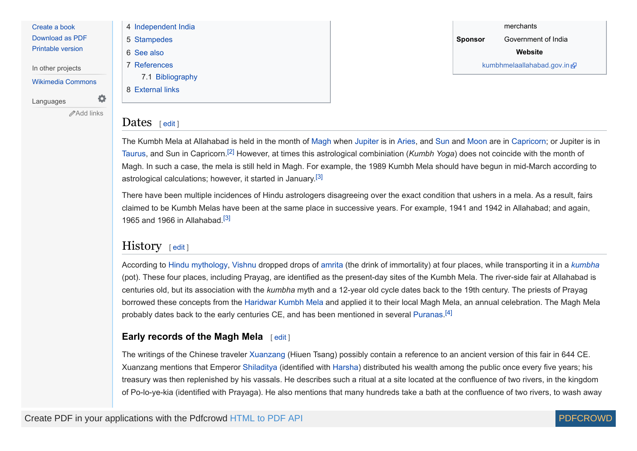[Create a book](https://en.wikipedia.org/w/index.php?title=Special:Book&bookcmd=book_creator&referer=Allahabad+Kumbh+Mela) [Download as PDF](https://en.wikipedia.org/w/index.php?title=Special:ElectronPdf&page=Allahabad+Kumbh+Mela&action=show-download-screen)

[Printable version](https://en.wikipedia.org/w/index.php?title=Allahabad_Kumbh_Mela&printable=yes)

In other projects

[Wikimedia Commons](https://commons.wikimedia.org/wiki/Category:Kumbh_Mela_in_Allahabad)

Languages

</del>[Add links](https://www.wikidata.org/wiki/Special:EntityPage/Q24943353#sitelinks-wikipedia)

A

| 4 Independent India |
|---------------------|
| 5 Stampedes         |
| 6 See also          |
| 7 References        |
| 7.1 Bibliography    |
| 8 External links    |
|                     |

<span id="page-1-6"></span>merchants **Sponsor** Government of India **Website** [kumbhmelaallahabad.gov.in](http://kumbhmelaallahabad.gov.in/) &

### <span id="page-1-0"></span>Dates [ [edit](https://en.wikipedia.org/w/index.php?title=Allahabad_Kumbh_Mela&action=edit§ion=1) ]

<span id="page-1-3"></span>The Kumbh Mela at Allahabad is held in the month of [Magh](https://en.wikipedia.org/wiki/Magha_(month)) when [Jupiter](https://en.wikipedia.org/wiki/Jupiter_(astrology)) is in [Aries](https://en.wikipedia.org/wiki/Aries_(astrology)), and [Sun](https://en.wikipedia.org/wiki/Sun_(astrology)) and [Moon](https://en.wikipedia.org/wiki/Moon_(astrology)) are in [Capricorn](https://en.wikipedia.org/wiki/Capricorn_(astrology)); or Jupiter is in [Taurus,](https://en.wikipedia.org/wiki/Taurus_(astrology)) and Sun in Capricorn.<sup>[\[2\]](#page-7-0)</sup> However, at times this astrological combiniation (*Kumbh Yoga*) does not coincide with the month of Magh. In such a case, the mela is still held in Magh. For example, the 1989 Kumbh Mela should have begun in mid-March according to astrological calculations; however, it started in January.<sup>[\[3\]](#page-7-1)</sup>

<span id="page-1-5"></span><span id="page-1-4"></span>There have been multiple incidences of Hindu astrologers disagreeing over the exact condition that ushers in a mela. As a result, fairs claimed to be Kumbh Melas have been at the same place in successive years. For example, 1941 and 1942 in Allahabad; and again, 1965 and 1966 in Allahabad.<sup>[\[3\]](#page-7-1)</sup>

# <span id="page-1-1"></span> $H$ **istory** [ [edit](https://en.wikipedia.org/w/index.php?title=Allahabad_Kumbh_Mela&action=edit§ion=2) ]

According to [Hindu mythology](https://en.wikipedia.org/wiki/Hindu_mythology), [Vishnu](https://en.wikipedia.org/wiki/Vishnu) dropped drops of [amrita](https://en.wikipedia.org/wiki/Amrita) (the drink of immortality) at four places, while transporting it in a *[kumbha](https://en.wikipedia.org/wiki/Kumbha)* (pot). These four places, including Prayag, are identified as the present-day sites of the Kumbh Mela. The river-side fair at Allahabad is centuries old, but its association with the *kumbha* myth and a 12-year old cycle dates back to the 19th century. The priests of Prayag borrowed these concepts from the [Haridwar Kumbh Mela](https://en.wikipedia.org/wiki/Haridwar_Kumbh_Mela) and applied it to their local Magh Mela, an annual celebration. The Magh Mela probably dates back to the early centuries CE, and has been mentioned in several [Puranas](https://en.wikipedia.org/wiki/Purana).<sup>[\[4\]](#page-7-2)</sup>

### <span id="page-1-2"></span>**Early records of the Magh Mela** [ [edit](https://en.wikipedia.org/w/index.php?title=Allahabad_Kumbh_Mela&action=edit§ion=3) ]

The writings of the Chinese traveler [Xuanzang](https://en.wikipedia.org/wiki/Xuanzang) (Hiuen Tsang) possibly contain a reference to an ancient version of this fair in 644 CE. Xuanzang mentions that Emperor [Shiladitya](https://en.wikipedia.org/wiki/Shiladitya) (identified with [Harsha\)](https://en.wikipedia.org/wiki/Harsha) distributed his wealth among the public once every five years; his treasury was then replenished by his vassals. He describes such a ritual at a site located at the confluence of two rivers, in the kingdom of Po-lo-ye-kia (identified with Prayaga). He also mentions that many hundreds take a bath at the confluence of two rivers, to wash away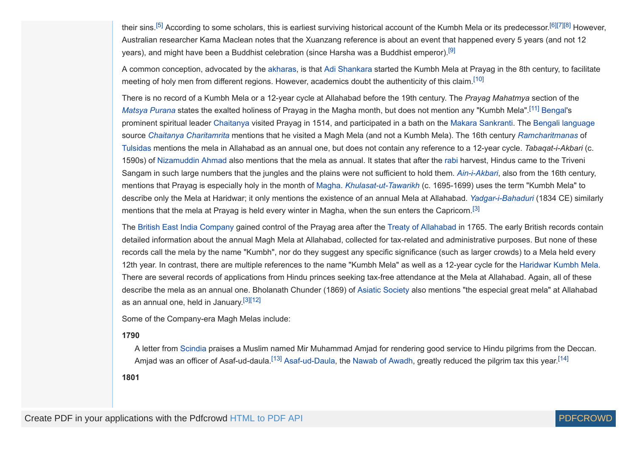<span id="page-2-2"></span>their sins.<sup>[\[5\]](#page-7-3)</sup> According to some scholars, this is earliest surviving historical account of the Kumbh Mela or its predecessor.<sup>[\[6\]](#page-7-4)[\[7\]](#page-7-5)[\[8\]](#page-7-6)</sup> However, Australian researcher Kama Maclean notes that the Xuanzang reference is about an event that happened every 5 years (and not 12 years), and might have been a Buddhist celebration (since Harsha was a Buddhist emperor).[\[9\]](#page-7-7)

<span id="page-2-6"></span>A common conception, advocated by the [akharas,](https://en.wikipedia.org/wiki/Akhara) is that [Adi Shankara](https://en.wikipedia.org/wiki/Adi_Shankara) started the Kumbh Mela at Prayag in the 8th century, to facilitate meeting of holy men from different regions. However, academics doubt the authenticity of this claim.<sup>[\[10\]](#page-7-8)</sup>

There is no record of a Kumbh Mela or a 12-year cycle at Allahabad before the 19th century. The *Prayag Mahatmya* section of the *[Matsya Purana](https://en.wikipedia.org/wiki/Matsya_Purana)* states the exalted holiness of Prayag in the Magha month, but does not mention any "Kumbh Mela".[\[11\]](#page-7-9) [Bengal](https://en.wikipedia.org/wiki/Bengal)'s prominent spiritual leader [Chaitanya](https://en.wikipedia.org/wiki/Chaitanya_Mahaprabhu) visited Prayag in 1514, and participated in a bath on the [Makara Sankranti.](https://en.wikipedia.org/wiki/Makara_Sankranti) The [Bengali language](https://en.wikipedia.org/wiki/Bengali_language) source *[Chaitanya Charitamrita](https://en.wikipedia.org/wiki/Chaitanya_Charitamrita)* mentions that he visited a Magh Mela (and not a Kumbh Mela). The 16th century *[Ramcharitmanas](https://en.wikipedia.org/wiki/Ramcharitmanas)* of [Tulsidas](https://en.wikipedia.org/wiki/Tulsidas) mentions the mela in Allahabad as an annual one, but does not contain any reference to a 12-year cycle. *Tabaqat-i-Akbari* (c. 1590s) of [Nizamuddin Ahmad](https://en.wikipedia.org/wiki/Nizamuddin_Ahmad) also mentions that the mela as annual. It states that after the [rabi](https://en.wikipedia.org/wiki/Rabi_crop) harvest, Hindus came to the Triveni Sangam in such large numbers that the jungles and the plains were not sufficient to hold them. *[Ain-i-Akbari](https://en.wikipedia.org/wiki/Ain-i-Akbari)*, also from the 16th century, mentions that Prayag is especially holy in the month of [Magha](https://en.wikipedia.org/wiki/Magha_(month)). *[Khulasat-ut-Tawarikh](https://en.wikipedia.org/wiki/Khulasat-ut-Tawarikh)* (c. 1695-1699) uses the term "Kumbh Mela" to describe only the Mela at Haridwar; it only mentions the existence of an annual Mela at Allahabad. *[Yadgar-i-Bahaduri](https://en.wikipedia.org/wiki/Yadgar-i-Bahaduri)* (1834 CE) similarly mentions that the mela at Prayag is held every winter in Magha, when the sun enters the Capricorn.<sup>[\[3\]](#page-7-1)</sup>

The [British East India Company](https://en.wikipedia.org/wiki/British_East_India_Company) gained control of the Prayag area after the [Treaty of Allahabad](https://en.wikipedia.org/wiki/Treaty_of_Allahabad) in 1765. The early British records contain detailed information about the annual Magh Mela at Allahabad, collected for tax-related and administrative purposes. But none of these records call the mela by the name "Kumbh", nor do they suggest any specific significance (such as larger crowds) to a Mela held every 12th year. In contrast, there are multiple references to the name "Kumbh Mela" as well as a 12-year cycle for the [Haridwar Kumbh Mela.](https://en.wikipedia.org/wiki/Haridwar_Kumbh_Mela) There are several records of applications from Hindu princes seeking tax-free attendance at the Mela at Allahabad. Again, all of these describe the mela as an annual one. Bholanath Chunder (1869) of [Asiatic Society](https://en.wikipedia.org/wiki/The_Asiatic_Society) also mentions "the especial great mela" at Allahabad as an annual one, held in January.<sup>[\[3\]](#page-7-1)[\[12\]](#page-7-10)</sup>

Some of the Company-era Magh Melas include:

#### **1790**

<span id="page-2-10"></span><span id="page-2-9"></span><span id="page-2-1"></span>A letter from [Scindia](https://en.wikipedia.org/wiki/Mahadaji_Shinde) praises a Muslim named Mir Muhammad Amjad for rendering good service to Hindu pilgrims from the Deccan. Amjad was an officer of Asaf-ud-daula.<sup>[\[13\]](#page-7-11)</sup> [Asaf-ud-Daula,](https://en.wikipedia.org/wiki/Asaf-ud-Daula) the [Nawab of Awadh](https://en.wikipedia.org/wiki/Nawab_of_Awadh), greatly reduced the pilgrim tax this year.<sup>[\[14\]](#page-7-12)</sup>

**1801**

<span id="page-2-11"></span><span id="page-2-8"></span><span id="page-2-7"></span><span id="page-2-5"></span><span id="page-2-4"></span><span id="page-2-3"></span><span id="page-2-0"></span>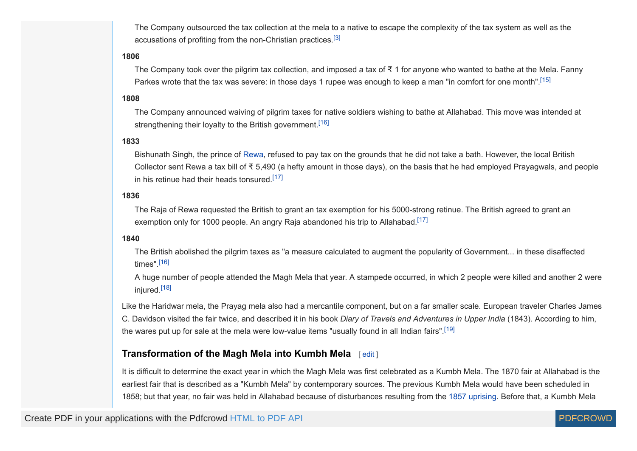<span id="page-3-1"></span>The Company outsourced the tax collection at the mela to a native to escape the complexity of the tax system as well as the accusations of profiting from the non-Christian practices.<sup>[\[3\]](#page-7-1)</sup>

#### **1806**

<span id="page-3-2"></span>The Company took over the pilgrim tax collection, and imposed a tax of  $\bar{x}$  1 for anyone who wanted to bathe at the Mela. Fanny Parkes wrote that the tax was severe: in those days 1 rupee was enough to keep a man "in comfort for one month".[\[15\]](#page-7-13)

#### **1808**

<span id="page-3-3"></span>The Company announced waiving of pilgrim taxes for native soldiers wishing to bathe at Allahabad. This move was intended at strengthening their loyalty to the British government.<sup>[\[16\]](#page-7-14)</sup>

#### **1833**

<span id="page-3-5"></span>Bishunath Singh, the prince of [Rewa](https://en.wikipedia.org/wiki/Rewa_State), refused to pay tax on the grounds that he did not take a bath. However, the local British Collector sent Rewa a tax bill of  $\bar{x}$  5,490 (a hefty amount in those days), on the basis that he had employed Prayagwals, and people in his retinue had their heads tonsured.[\[17\]](#page-7-15)

#### **1836**

<span id="page-3-6"></span>The Raja of Rewa requested the British to grant an tax exemption for his 5000-strong retinue. The British agreed to grant an exemption only for 1000 people. An angry Raja abandoned his trip to Allahabad.<sup>[\[17\]](#page-7-15)</sup>

#### **1840**

<span id="page-3-4"></span>The British abolished the pilgrim taxes as "a measure calculated to augment the popularity of Government... in these disaffected times" $[16]$ 

<span id="page-3-8"></span><span id="page-3-7"></span>A huge number of people attended the Magh Mela that year. A stampede occurred, in which 2 people were killed and another 2 were injured.<sup>[\[18\]](#page-7-16)</sup>

Like the Haridwar mela, the Prayag mela also had a mercantile component, but on a far smaller scale. European traveler Charles James C. Davidson visited the fair twice, and described it in his book *Diary of Travels and Adventures in Upper India* (1843). According to him, the wares put up for sale at the mela were low-value items "usually found in all Indian fairs".[\[19\]](#page-7-17)

#### <span id="page-3-0"></span>**Transformation of the Magh Mela into Kumbh Mela** [ [edit](https://en.wikipedia.org/w/index.php?title=Allahabad_Kumbh_Mela&action=edit§ion=4) ]

It is difficult to determine the exact year in which the Magh Mela was first celebrated as a Kumbh Mela. The 1870 fair at Allahabad is the earliest fair that is described as a "Kumbh Mela" by contemporary sources. The previous Kumbh Mela would have been scheduled in 1858; but that year, no fair was held in Allahabad because of disturbances resulting from the [1857 uprising](https://en.wikipedia.org/wiki/1857_uprising). Before that, a Kumbh Mela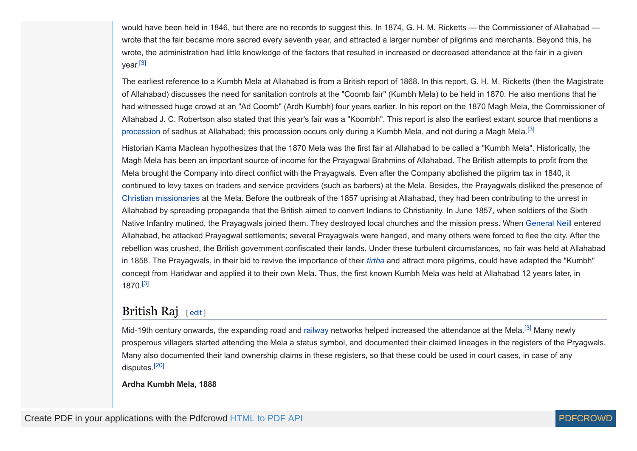would have been held in 1846, but there are no records to suggest this. In 1874, G. H. M. Ricketts — the Commissioner of Allahabad wrote that the fair became more sacred every seventh year, and attracted a larger number of pilgrims and merchants. Beyond this, he wrote, the administration had little knowledge of the factors that resulted in increased or decreased attendance at the fair in a given year.<sup>[\[3\]](#page-7-1)</sup>

<span id="page-4-1"></span>The earliest reference to a Kumbh Mela at Allahabad is from a British report of 1868. In this report, G. H. M. Ricketts (then the Magistrate of Allahabad) discusses the need for sanitation controls at the "Coomb fair" (Kumbh Mela) to be held in 1870. He also mentions that he had witnessed huge crowd at an "Ad Coomb" (Ardh Kumbh) four years earlier. In his report on the 1870 Magh Mela, the Commissioner of Allahabad J. C. Robertson also stated that this year's fair was a "Koombh". This report is also the earliest extant source that mentions a [procession](https://en.wikipedia.org/wiki/Peshwai_Procession) of sadhus at Allahabad; this procession occurs only during a Kumbh Mela, and not during a Magh Mela.<sup>[\[3\]](#page-7-1)</sup>

Historian Kama Maclean hypothesizes that the 1870 Mela was the first fair at Allahabad to be called a "Kumbh Mela". Historically, the Magh Mela has been an important source of income for the Prayagwal Brahmins of Allahabad. The British attempts to profit from the Mela brought the Company into direct conflict with the Prayagwals. Even after the Company abolished the pilgrim tax in 1840, it continued to levy taxes on traders and service providers (such as barbers) at the Mela. Besides, the Prayagwals disliked the presence of [Christian missionaries](https://en.wikipedia.org/wiki/Mission_(Christianity)) at the Mela. Before the outbreak of the 1857 uprising at Allahabad, they had been contributing to the unrest in Allahabad by spreading propaganda that the British aimed to convert Indians to Christianity. In June 1857, when soldiers of the Sixth Native Infantry mutined, the Prayagwals joined them. They destroyed local churches and the mission press. When [General Neill](https://en.wikipedia.org/wiki/James_George_Smith_Neill) entered Allahabad, he attacked Prayagwal settlements; several Prayagwals were hanged, and many others were forced to flee the city. After the rebellion was crushed, the British government confiscated their lands. Under these turbulent circumstances, no fair was held at Allahabad in 1858. The Prayagwals, in their bid to revive the importance of their *[tirtha](https://en.wikipedia.org/wiki/Tirtha_(Hinduism))* and attract more pilgrims, could have adapted the "Kumbh" concept from Haridwar and applied it to their own Mela. Thus, the first known Kumbh Mela was held at Allahabad 12 years later, in 1870.[\[3\]](#page-7-1)

# <span id="page-4-3"></span><span id="page-4-0"></span>British Raj  $[edit]$  $[edit]$  $[edit]$

Mid-19th century onwards, the expanding road and [railway](https://en.wikipedia.org/wiki/History_of_rail_transport_in_India) networks helped increased the attendance at the Mela.<sup>[\[3\]](#page-7-1)</sup> Many newly prosperous villagers started attending the Mela a status symbol, and documented their claimed lineages in the registers of the Pryagwals. Many also documented their land ownership claims in these registers, so that these could be used in court cases, in case of any disputes.[\[20\]](#page-7-18)

<span id="page-4-5"></span>**Ardha Kumbh Mela, 1888**

<span id="page-4-4"></span><span id="page-4-2"></span>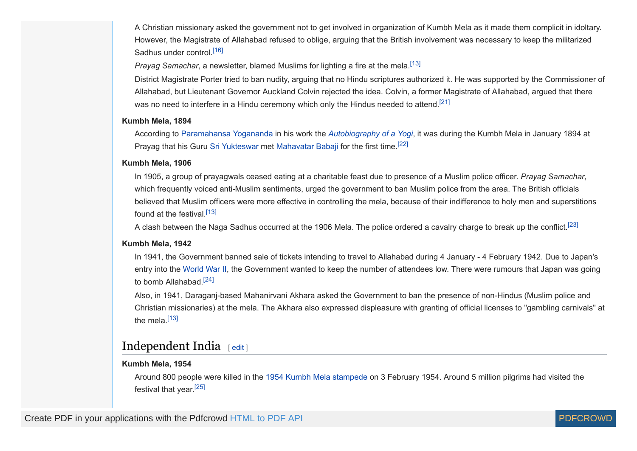A Christian missionary asked the government not to get involved in organization of Kumbh Mela as it made them complicit in idoltary. However, the Magistrate of Allahabad refused to oblige, arguing that the British involvement was necessary to keep the militarized Sadhus under control.[\[16\]](#page-7-14)

<span id="page-5-4"></span><span id="page-5-1"></span>*Prayag Samachar*, a newsletter, blamed Muslims for lighting a fire at the mela.<sup>[\[13\]](#page-7-11)</sup>

<span id="page-5-5"></span>District Magistrate Porter tried to ban nudity, arguing that no Hindu scriptures authorized it. He was supported by the Commissioner of Allahabad, but Lieutenant Governor Auckland Colvin rejected the idea. Colvin, a former Magistrate of Allahabad, argued that there was no need to interfere in a Hindu ceremony which only the Hindus needed to attend.<sup>[\[21\]](#page-7-19)</sup>

#### **Kumbh Mela, 1894**

<span id="page-5-6"></span>According to [Paramahansa Yogananda](https://en.wikipedia.org/wiki/Paramahansa_Yogananda) in his work the *[Autobiography of a Yogi](https://en.wikipedia.org/wiki/Autobiography_of_a_Yogi)*, it was during the Kumbh Mela in January 1894 at Prayag that his Guru [Sri Yukteswar](https://en.wikipedia.org/wiki/Sri_Yukteswar) met [Mahavatar Babaji](https://en.wikipedia.org/wiki/Mahavatar_Babaji) for the first time.[\[22\]](#page-7-20)

#### **Kumbh Mela, 1906**

In 1905, a group of prayagwals ceased eating at a charitable feast due to presence of a Muslim police officer. *Prayag Samachar*, which frequently voiced anti-Muslim sentiments, urged the government to ban Muslim police from the area. The British officials believed that Muslim officers were more effective in controlling the mela, because of their indifference to holy men and superstitions found at the festival [\[13\]](#page-7-11)

<span id="page-5-2"></span>A clash between the Naga Sadhus occurred at the 1906 Mela. The police ordered a cavalry charge to break up the conflict.[\[23\]](#page-7-21)

#### **Kumbh Mela, 1942**

In 1941, the Government banned sale of tickets intending to travel to Allahabad during 4 January - 4 February 1942. Due to Japan's entry into the [World War II,](https://en.wikipedia.org/wiki/World_War_II) the Government wanted to keep the number of attendees low. There were rumours that Japan was going to bomb Allahabad.[\[24\]](#page-7-22)

<span id="page-5-8"></span><span id="page-5-3"></span>Also, in 1941, Daraganj-based Mahanirvani Akhara asked the Government to ban the presence of non-Hindus (Muslim police and Christian missionaries) at the mela. The Akhara also expressed displeasure with granting of official licenses to "gambling carnivals" at the mela. $[13]$ 

# <span id="page-5-0"></span>Independent India [ [edit](https://en.wikipedia.org/w/index.php?title=Allahabad_Kumbh_Mela&action=edit§ion=6)]

#### **Kumbh Mela, 1954**

<span id="page-5-9"></span>Around 800 people were killed in the [1954 Kumbh Mela stampede](https://en.wikipedia.org/wiki/1954_Kumbh_Mela_stampede) on 3 February 1954. Around 5 million pilgrims had visited the festival that year.<sup>[\[25\]](#page-7-23)</sup>

<span id="page-5-7"></span>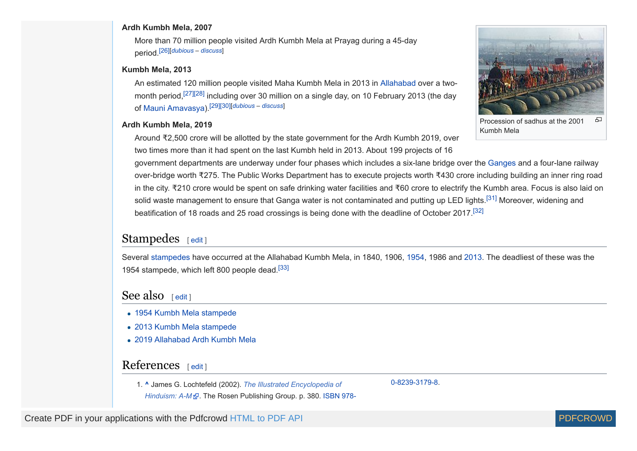#### **Ardh Kumbh Mela, 2007**

<span id="page-6-4"></span>More than 70 million people visited Ardh Kumbh Mela at Prayag during a 45-day period.[\[26\]](#page-7-24)[*[dubious](https://en.wikipedia.org/wiki/Wikipedia:Accuracy_dispute#Disputed_statement) – [discuss](https://en.wikipedia.org/wiki/Talk:Allahabad_Kumbh_Mela#Dubious)*]

#### **Kumbh Mela, 2013**

<span id="page-6-8"></span><span id="page-6-7"></span><span id="page-6-6"></span><span id="page-6-5"></span>An estimated 120 million people visited Maha Kumbh Mela in 2013 in [Allahabad](https://en.wikipedia.org/wiki/Allahabad) over a two-month period,<sup>[\[27\]](#page-7-25)[\[28\]](#page-7-26)</sup> including over 30 million on a single day, on 10 February 2013 (the day of [Mauni Amavasya](https://en.wikipedia.org/wiki/Amavasya)).[\[29\]](#page-7-27)[\[30\]\[](#page-7-28)*[dubious](https://en.wikipedia.org/wiki/Wikipedia:Accuracy_dispute#Disputed_statement) – [discuss](https://en.wikipedia.org/wiki/Talk:Allahabad_Kumbh_Mela#Dubious)*]

#### **Ardh Kumbh Mela, 2019**

<span id="page-6-10"></span><span id="page-6-9"></span>品 Procession of sadhus at the 2001 Kumbh Mela

Around ₹2,500 crore will be allotted by the state government for the Ardh Kumbh 2019, over two times more than it had spent on the last Kumbh held in 2013. About 199 projects of 16

government departments are underway under four phases which includes a six-lane bridge over the [Ganges](https://en.wikipedia.org/wiki/Ganges) and a four-lane railway over-bridge worth ₹275. The Public Works Department has to execute projects worth ₹430 crore including building an inner ring road in the city. ₹210 crore would be spent on safe drinking water facilities and ₹60 crore to electrify the Kumbh area. Focus is also laid on solid waste management to ensure that Ganga water is not contaminated and putting up LED lights.<sup>[\[31\]](#page-7-29)</sup> Moreover, widening and beatification of 18 roads and 25 road crossings is being done with the deadline of October 2017.[\[32\]](#page-7-30)

### <span id="page-6-1"></span>Stampedes  $[edit]$  $[edit]$  $[edit]$

<span id="page-6-11"></span>Several [stampedes](https://en.wikipedia.org/wiki/Stampede) have occurred at the Allahabad Kumbh Mela, in 1840, 1906, [1954,](https://en.wikipedia.org/wiki/1954_Kumbh_Mela_stampede) 1986 and [2013](https://en.wikipedia.org/wiki/2013_Kumbh_Mela_stampede). The deadliest of these was the 1954 stampede, which left 800 people dead.<sup>[\[33\]](#page-7-31)</sup>

### <span id="page-6-2"></span>See also  $[edit]$  $[edit]$  $[edit]$

- [1954 Kumbh Mela stampede](https://en.wikipedia.org/wiki/1954_Kumbh_Mela_stampede)
- [2013 Kumbh Mela stampede](https://en.wikipedia.org/wiki/2013_Kumbh_Mela_stampede)
- [2019 Allahabad Ardh Kumbh Mela](https://en.wikipedia.org/wiki/2019_Allahabad_Ardh_Kumbh_Mela)

### <span id="page-6-3"></span>References [ [edit](https://en.wikipedia.org/w/index.php?title=Allahabad_Kumbh_Mela&action=edit§ion=9) ]

<span id="page-6-0"></span>1. **[^](#page-0-0)** James G. Lochtefeld (2002). *The Illustrated [Encyclopedia](https://books.google.com/books?id=5kl0DYIjUPgC&pg=PA380) of*

*Hinduism: A-M* . The Rosen [Publishing](https://en.wikipedia.org/wiki/Special:BookSources/978-0-8239-3179-8) Group. p. 380. [ISBN](https://en.wikipedia.org/wiki/International_Standard_Book_Number) 978-

[0-8239-3179-8.](https://en.wikipedia.org/wiki/Special:BookSources/978-0-8239-3179-8)

Create PDF in your applications with the Pdfcrowd [HTML to PDF API](https://pdfcrowd.com/doc/api/?ref=pdf) [PDFCROWD](https://pdfcrowd.com/?ref=pdf)

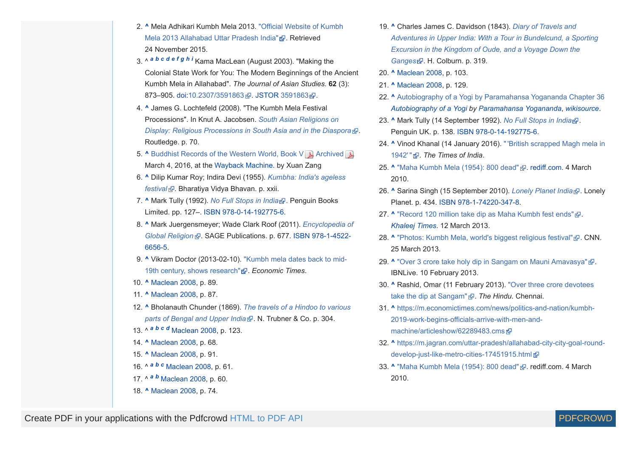- <span id="page-7-0"></span>2. **[^](#page-1-3)** Mela Adhikari Kumbh Mela 2013. "Official Website of Kumbh Mela 2013 [Allahabad](http://kumbhmelaallahabad.gov.in/english/astrological_aspect.html) Uttar Pradesh India" . Retrieved 24 November 2015.
- <span id="page-7-1"></span>3. ^ *[a](#page-1-4) [b](#page-1-5) [c](#page-2-0) [d](#page-2-1) [e](#page-3-1) [f](#page-4-1) [g](#page-4-2) [h](#page-4-3) [i](#page-4-4)* Kama MacLean (August 2003). "Making the Colonial State Work for You: The Modern Beginnings of the Ancient Kumbh Mela in Allahabad". *The Journal of Asian Studies*. **62** (3): 873-905. [doi](https://en.wikipedia.org/wiki/Digital_object_identifier):[10.2307/3591863](https://doi.org/10.2307%2F3591863) . [JSTOR](https://en.wikipedia.org/wiki/JSTOR) [3591863](https://www.jstor.org/stable/3591863) .
- <span id="page-7-2"></span>4. **[^](#page-1-6)** James G. Lochtefeld (2008). "The Kumbh Mela Festival [Processions".](https://books.google.com/books?id=WT2odZ7_d7MC&pg=PA32) In Knut A. Jacobsen. *South Asian Religions on Display: Religious Processions in South Asia and in the Diaspora* . Routledge. p. 70.
- <span id="page-7-3"></span>**5. [^](#page-2-2)** [Buddhist](http://www.sdstate.edu/projectsouthasia/upload/Xuan-Zang-Book-V.pdf) Records of the Western World, Book V **A** [Archived](https://web.archive.org/web/20160304051904/http://www.sdstate.edu/projectsouthasia/upload/Xuan-Zang-Book-V.pdf) **A** March 4, 2016, at the [Wayback](https://en.wikipedia.org/wiki/Wayback_Machine) Machine. by Xuan Zang
- <span id="page-7-4"></span>6. **[^](#page-2-3)** Dilip Kumar Roy; Indira Devi (1955). *Kumbha: India's ageless festival* . [Bharatiya](https://books.google.com/books?id=TtZKAAAAMAAJ) Vidya Bhavan. p. xxii.
- <span id="page-7-5"></span>7. **[^](#page-2-4)** Mark Tully (1992). *No Full [Stops](https://books.google.com/books?id=QUyx_nvsEncC&pg=PT127) in India* . Penguin Books Limited. pp. 127–. [ISBN](https://en.wikipedia.org/wiki/International_Standard_Book_Number) [978-0-14-192775-6](https://en.wikipedia.org/wiki/Special:BookSources/978-0-14-192775-6).
- <span id="page-7-6"></span>8. **[^](#page-2-5)** Mark [Juergensmeyer;](https://books.google.com/books?id=WwJzAwAAQBAJ&pg=PA677) Wade Clark Roof (2011). *Encyclopedia of Global Religion* . SAGE [Publications.](https://en.wikipedia.org/wiki/Special:BookSources/978-1-4522-6656-5) p. 677. [ISBN](https://en.wikipedia.org/wiki/International_Standard_Book_Number) 978-1-4522- 6656-5.
- <span id="page-7-7"></span>9. **[^](#page-2-6)** Vikram Doctor [\(2013-02-10\).](http://articles.economictimes.indiatimes.com/2013-02-10/news/37008284_1_kumbh-mela-prayag-haridwar) "Kumbh mela dates back to mid-19th century, shows research" *R*. Economic Times.
- <span id="page-7-8"></span>10. **[^](#page-2-7)** Maclean 2008, p. 89.
- <span id="page-7-9"></span>11. **[^](#page-2-8)** Maclean 2008, p. 87.
- <span id="page-7-10"></span>12. **[^](#page-2-9)** [Bholanauth](https://archive.org/stream/travelsahindoot00chungoog#page/n336/mode/2up) Chunder (1869). *The travels of a Hindoo to various parts of Bengal and Upper India* . N. Trubner & Co. p. 304.
- <span id="page-7-11"></span>13. ^ *[a](#page-2-10) [b](#page-5-1) [c](#page-5-2) [d](#page-5-3)* Maclean 2008, p. 123.
- <span id="page-7-12"></span>14. **[^](#page-2-11)** Maclean 2008, p. 68.
- <span id="page-7-13"></span>15. **[^](#page-3-2)** Maclean 2008, p. 91.
- <span id="page-7-14"></span>16. ^ *[a](#page-3-3) [b](#page-3-4) [c](#page-5-4)* Maclean 2008, p. 61.
- <span id="page-7-15"></span>17. ^ *[a](#page-3-5) [b](#page-3-6)* Maclean 2008, p. 60.
- <span id="page-7-16"></span>18. **[^](#page-3-7)** Maclean 2008, p. 74.
- <span id="page-7-17"></span>19. **[^](#page-3-8)** Charles James C. Davidson (1843). *Diary of Travels and Adventures in Upper India: With a Tour in [Bundelcund,](https://books.google.com/books?id=9bRrTM9cUZ8C&pg=PA317) a Sporting Excursion in the Kingdom of Oude, and a Voyage Down the Ganges* . H. Colburn. p. 319.
- <span id="page-7-18"></span>20. **[^](#page-4-5)** Maclean 2008, p. 103.
- <span id="page-7-19"></span>21. **[^](#page-5-5)** Maclean 2008, p. 129.
- <span id="page-7-20"></span>22. **[^](#page-5-6)** [Autobiography](https://en.wikisource.org/wiki/Autobiography_of_a_Yogi/Chapter_36) of a Yogi by Paramahansa Yogananda Chapter 36 *[Autobiography](https://en.wikipedia.org/wiki/Autobiography_of_a_Yogi) of a Yogi by [Paramahansa](https://en.wikipedia.org/wiki/Paramahansa_Yogananda) Yogananda*, *[wikisource](https://en.wikipedia.org/wiki/Wikisource)*.
- <span id="page-7-21"></span>23. **[^](#page-5-7)** Mark Tully (14 September 1992). *No Full [Stops](https://books.google.com/books?id=QUyx_nvsEncC&pg=PT138) in India* . Penguin UK. p. 138. [ISBN](https://en.wikipedia.org/wiki/International_Standard_Book_Number) [978-0-14-192775-6.](https://en.wikipedia.org/wiki/Special:BookSources/978-0-14-192775-6)
- <span id="page-7-22"></span>24. **[^](#page-5-8)** Vinod Khanal (14 January 2016). "'British [scrapped](http://timesofindia.indiatimes.com/city/allahabad/british-scrapped-magh-mela-in-1942/articleshow/50575926.cms) Magh mela in 1942'" . *The Times of India*.
- <span id="page-7-23"></span>25. [^](#page-5-9) "Maha [Kumbh](http://news.rediff.com/slide-show/2010/mar/04/slide-show-1-worst-religious-stampedes.htm) Mela (1954): 800 dead" **2**. [rediff.com.](https://en.wikipedia.org/wiki/Rediff.com) 4 March 2010.
- <span id="page-7-24"></span>26. **[^](#page-6-4)** Sarina Singh (15 September 2010). *[Lonely](https://books.google.com/books?id=vK88ktao7pIC&pg=PA434) Planet India* . Lonely Planet. p. 434. [ISBN](https://en.wikipedia.org/wiki/International_Standard_Book_Number) [978-1-74220-347-8](https://en.wikipedia.org/wiki/Special:BookSources/978-1-74220-347-8).
- <span id="page-7-25"></span>27. [^](#page-6-5) ["Record](http://www.khaleejtimes.com/article/20130311/ARTICLE/303119878/1028) 120 million take dip as Maha Kumbh fest ends" **2**. *[Khaleej](https://en.wikipedia.org/wiki/Khaleej_Times) Times*. 12 March 2013.
- <span id="page-7-26"></span>28. **[^](#page-6-6)** ["Photos:](http://www.cnn.com/2013/01/14/travel/gallery/kumbh-mela-festival/) Kumbh Mela, world's biggest religious festival" & CNN. 25 March 2013.
- <span id="page-7-27"></span>29. [^](#page-6-7) "Over 3 crore take holy dip in Sangam on Mauni [Amavasya"](http://www.ibnlive.com/news/india/over-3-crore-take-holy-dip-in-sangam-on-mauni-amavasya-590002.html) **2**. IBNLive. 10 February 2013.
- <span id="page-7-28"></span>30. **[^](#page-6-8)** Rashid, Omar (11 February 2013). "Over three crore devotees take the dip at [Sangam"](http://www.thehindu.com/todays-paper/tp-national/over-three-crore-devotees-take-the-dip-at-sangam/article4401726.ece) . *The Hindu*. Chennai.
- <span id="page-7-29"></span>31. **[^](#page-6-9)** [https://m.economictimes.com/news/politics-and-nation/kumbh-](https://m.economictimes.com/news/politics-and-nation/kumbh-2019-work-begins-officials-arrive-with-men-and-machine/articleshow/62289483.cms)2019-work-begins-officials-arrive-with-men-andmachine/articleshow/62289483.cms
- <span id="page-7-30"></span>32. **[^](#page-6-10)** [https://m.jagran.com/uttar-pradesh/allahabad-city-city-goal-round](https://m.jagran.com/uttar-pradesh/allahabad-city-city-goal-round-develop-just-like-metro-cities-17451915.html)develop-just-like-metro-cities-17451915.html a
- <span id="page-7-31"></span>33. [^](#page-6-11) "Maha [Kumbh](http://news.rediff.com/slide-show/2010/mar/04/slide-show-1-worst-religious-stampedes.htm) Mela (1954): 800 dead" **2.** rediff.com. 4 March 2010.